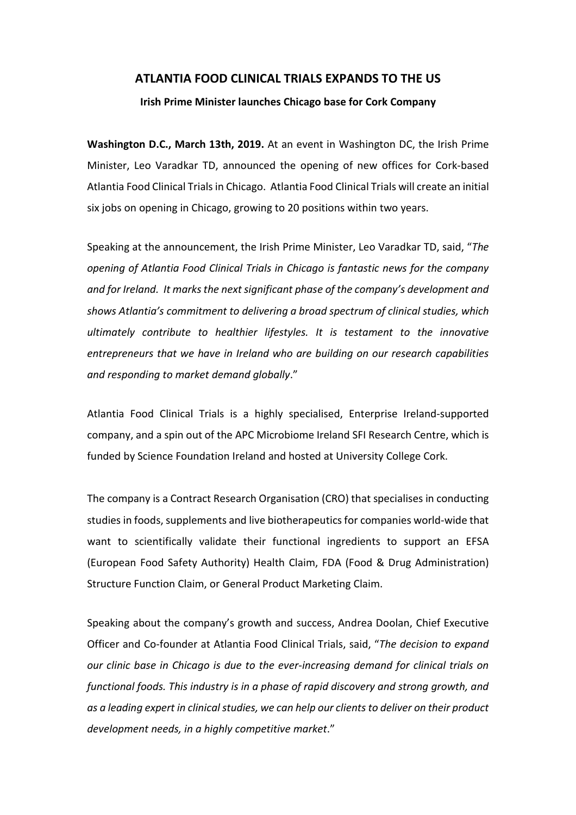## **ATLANTIA FOOD CLINICAL TRIALS EXPANDS TO THE US**

## **Irish Prime Minister launches Chicago base for Cork Company**

**Washington D.C., March 13th, 2019.** At an event in Washington DC, the Irish Prime Minister, Leo Varadkar TD, announced the opening of new offices for Cork-based Atlantia Food Clinical Trials in Chicago. Atlantia Food Clinical Trials will create an initial six jobs on opening in Chicago, growing to 20 positions within two years.

Speaking at the announcement, the Irish Prime Minister, Leo Varadkar TD, said, "*The opening of Atlantia Food Clinical Trials in Chicago is fantastic news for the company and for Ireland. It marks the next significant phase of the company's development and shows Atlantia's commitment to delivering a broad spectrum of clinical studies, which ultimately contribute to healthier lifestyles. It is testament to the innovative entrepreneurs that we have in Ireland who are building on our research capabilities and responding to market demand globally*."

Atlantia Food Clinical Trials is a highly specialised, Enterprise Ireland-supported company, and a spin out of the APC Microbiome Ireland SFI Research Centre, which is funded by Science Foundation Ireland and hosted at University College Cork.

The company is a Contract Research Organisation (CRO) that specialises in conducting studies in foods, supplements and live biotherapeuticsfor companies world-wide that want to scientifically validate their functional ingredients to support an EFSA (European Food Safety Authority) Health Claim, FDA (Food & Drug Administration) Structure Function Claim, or General Product Marketing Claim.

Speaking about the company's growth and success, Andrea Doolan, Chief Executive Officer and Co-founder at Atlantia Food Clinical Trials, said, "*The decision to expand our clinic base in Chicago is due to the ever-increasing demand for clinical trials on functional foods. This industry is in a phase of rapid discovery and strong growth, and as a leading expert in clinical studies, we can help our clientsto deliver on their product development needs, in a highly competitive market*."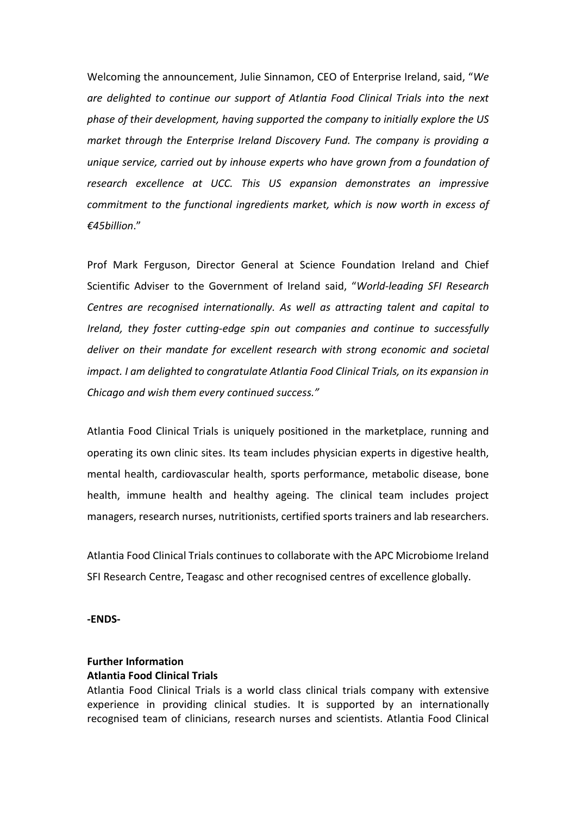Welcoming the announcement, Julie Sinnamon, CEO of Enterprise Ireland, said, "*We are delighted to continue our support of Atlantia Food Clinical Trials into the next phase of their development, having supported the company to initially explore the US market through the Enterprise Ireland Discovery Fund. The company is providing a unique service, carried out by inhouse experts who have grown from a foundation of research excellence at UCC. This US expansion demonstrates an impressive commitment to the functional ingredients market, which is now worth in excess of €45billion*."

Prof Mark Ferguson, Director General at Science Foundation Ireland and Chief Scientific Adviser to the Government of Ireland said, "*World-leading SFI Research Centres are recognised internationally. As well as attracting talent and capital to Ireland, they foster cutting-edge spin out companies and continue to successfully deliver on their mandate for excellent research with strong economic and societal impact. I am delighted to congratulate Atlantia Food Clinical Trials, on its expansion in Chicago and wish them every continued success."*

Atlantia Food Clinical Trials is uniquely positioned in the marketplace, running and operating its own clinic sites. Its team includes physician experts in digestive health, mental health, cardiovascular health, sports performance, metabolic disease, bone health, immune health and healthy ageing. The clinical team includes project managers, research nurses, nutritionists, certified sports trainers and lab researchers.

Atlantia Food Clinical Trials continues to collaborate with the APC Microbiome Ireland SFI Research Centre, Teagasc and other recognised centres of excellence globally.

**-ENDS-**

## **Further Information Atlantia Food Clinical Trials**

Atlantia Food Clinical Trials is a world class clinical trials company with extensive experience in providing clinical studies. It is supported by an internationally recognised team of clinicians, research nurses and scientists. Atlantia Food Clinical